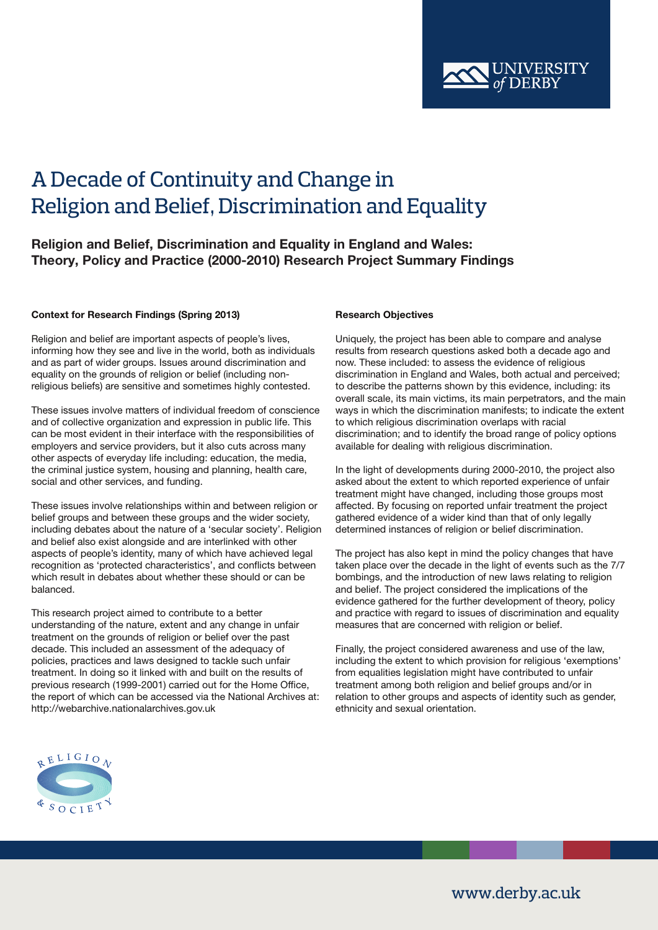

# A Decade of Continuity and Change in Religion and Belief, Discrimination and Equality

# **Religion and Belief, Discrimination and Equality in England and Wales: Theory, Policy and Practice (2000-2010) Research Project Summary Findings**

## **Context for Research Findings (Spring 2013)**

Religion and belief are important aspects of people's lives, informing how they see and live in the world, both as individuals and as part of wider groups. Issues around discrimination and equality on the grounds of religion or belief (including nonreligious beliefs) are sensitive and sometimes highly contested.

These issues involve matters of individual freedom of conscience and of collective organization and expression in public life. This can be most evident in their interface with the responsibilities of employers and service providers, but it also cuts across many other aspects of everyday life including: education, the media, the criminal justice system, housing and planning, health care, social and other services, and funding.

These issues involve relationships within and between religion or belief groups and between these groups and the wider society, including debates about the nature of a 'secular society'. Religion and belief also exist alongside and are interlinked with other aspects of people's identity, many of which have achieved legal recognition as 'protected characteristics', and conflicts between which result in debates about whether these should or can be balanced.

This research project aimed to contribute to a better understanding of the nature, extent and any change in unfair treatment on the grounds of religion or belief over the past decade. This included an assessment of the adequacy of policies, practices and laws designed to tackle such unfair treatment. In doing so it linked with and built on the results of previous research (1999-2001) carried out for the Home Office, the report of which can be accessed via the National Archives at: [http://webarchive.nationalarchives.gov.uk](http://webarchive.nationalarchives.gov.uk/20070507055347/http://communities.gov.uk/pub/945/ReligiousdiscriminationinEnglandandWales_id1504945.pdf)

#### **Research Objectives**

Uniquely, the project has been able to compare and analyse results from research questions asked both a decade ago and now. These included: to assess the evidence of religious discrimination in England and Wales, both actual and perceived; to describe the patterns shown by this evidence, including: its overall scale, its main victims, its main perpetrators, and the main ways in which the discrimination manifests; to indicate the extent to which religious discrimination overlaps with racial discrimination; and to identify the broad range of policy options available for dealing with religious discrimination.

In the light of developments during 2000-2010, the project also asked about the extent to which reported experience of unfair treatment might have changed, including those groups most affected. By focusing on reported unfair treatment the project gathered evidence of a wider kind than that of only legally determined instances of religion or belief discrimination.

The project has also kept in mind the policy changes that have taken place over the decade in the light of events such as the 7/7 bombings, and the introduction of new laws relating to religion and belief. The project considered the implications of the evidence gathered for the further development of theory, policy and practice with regard to issues of discrimination and equality measures that are concerned with religion or belief.

Finally, the project considered awareness and use of the law, including the extent to which provision for religious 'exemptions' from equalities legislation might have contributed to unfair treatment among both religion and belief groups and/or in relation to other groups and aspects of identity such as gender, ethnicity and sexual orientation.



www.derby.ac.uk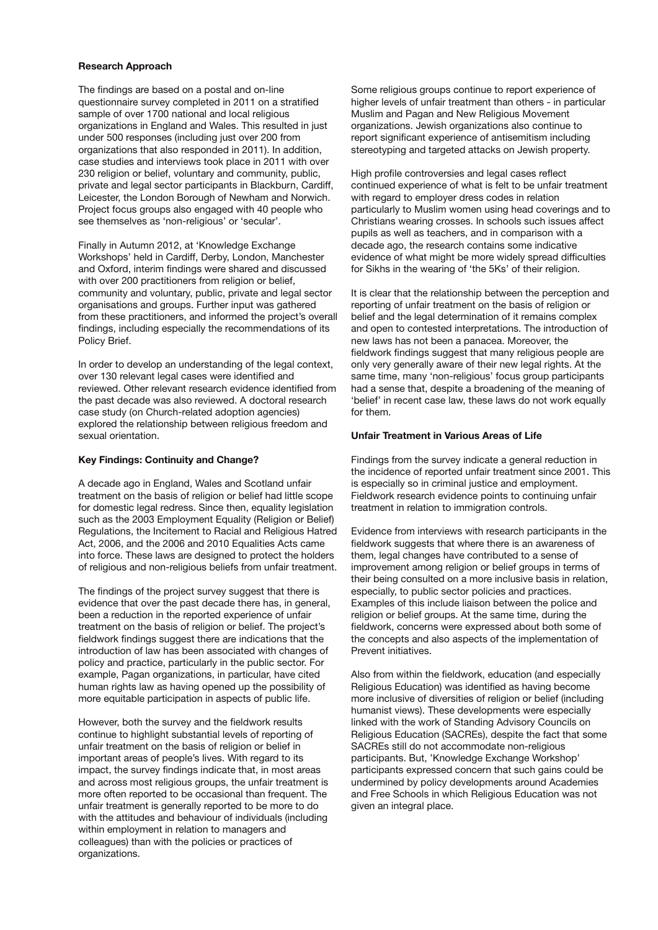## **Research Approach**

The findings are based on a postal and on-line questionnaire survey completed in 2011 on a stratified sample of over 1700 national and local religious organizations in England and Wales. This resulted in just under 500 responses (including just over 200 from organizations that also responded in 2011). In addition, case studies and interviews took place in 2011 with over 230 religion or belief, voluntary and community, public, private and legal sector participants in Blackburn, Cardiff, Leicester, the London Borough of Newham and Norwich. Project focus groups also engaged with 40 people who see themselves as 'non-religious' or 'secular'.

Finally in Autumn 2012, at 'Knowledge Exchange Workshops' held in Cardiff, Derby, London, Manchester and Oxford, interim findings were shared and discussed with over 200 practitioners from religion or belief, community and voluntary, public, private and legal sector organisations and groups. Further input was gathered from these practitioners, and informed the project's overall findings, including especially the recommendations of its Policy Brief.

In order to develop an understanding of the legal context, over 130 relevant legal cases were identified and reviewed. Other relevant research evidence identified from the past decade was also reviewed. A doctoral research case study (on Church-related adoption agencies) explored the relationship between religious freedom and sexual orientation.

#### **Key Findings: Continuity and Change?**

A decade ago in England, Wales and Scotland unfair treatment on the basis of religion or belief had little scope for domestic legal redress. Since then, equality legislation such as the 2003 Employment Equality (Religion or Belief) Regulations, the Incitement to Racial and Religious Hatred Act, 2006, and the 2006 and 2010 Equalities Acts came into force. These laws are designed to protect the holders of religious and non-religious beliefs from unfair treatment.

The findings of the project survey suggest that there is evidence that over the past decade there has, in general, been a reduction in the reported experience of unfair treatment on the basis of religion or belief. The project's fieldwork findings suggest there are indications that the introduction of law has been associated with changes of policy and practice, particularly in the public sector. For example, Pagan organizations, in particular, have cited human rights law as having opened up the possibility of more equitable participation in aspects of public life.

However, both the survey and the fieldwork results continue to highlight substantial levels of reporting of unfair treatment on the basis of religion or belief in important areas of people's lives. With regard to its impact, the survey findings indicate that, in most areas and across most religious groups, the unfair treatment is more often reported to be occasional than frequent. The unfair treatment is generally reported to be more to do with the attitudes and behaviour of individuals (including within employment in relation to managers and colleagues) than with the policies or practices of organizations.

Some religious groups continue to report experience of higher levels of unfair treatment than others - in particular Muslim and Pagan and New Religious Movement organizations. Jewish organizations also continue to report significant experience of antisemitism including stereotyping and targeted attacks on Jewish property.

High profile controversies and legal cases reflect continued experience of what is felt to be unfair treatment with regard to employer dress codes in relation particularly to Muslim women using head coverings and to Christians wearing crosses. In schools such issues affect pupils as well as teachers, and in comparison with a decade ago, the research contains some indicative evidence of what might be more widely spread difficulties for Sikhs in the wearing of 'the 5Ks' of their religion.

It is clear that the relationship between the perception and reporting of unfair treatment on the basis of religion or belief and the legal determination of it remains complex and open to contested interpretations. The introduction of new laws has not been a panacea. Moreover, the fieldwork findings suggest that many religious people are only very generally aware of their new legal rights. At the same time, many 'non-religious' focus group participants had a sense that, despite a broadening of the meaning of 'belief' in recent case law, these laws do not work equally for them.

## **Unfair Treatment in Various Areas of Life**

Findings from the survey indicate a general reduction in the incidence of reported unfair treatment since 2001. This is especially so in criminal justice and employment. Fieldwork research evidence points to continuing unfair treatment in relation to immigration controls.

Evidence from interviews with research participants in the fieldwork suggests that where there is an awareness of them, legal changes have contributed to a sense of improvement among religion or belief groups in terms of their being consulted on a more inclusive basis in relation, especially, to public sector policies and practices. Examples of this include liaison between the police and religion or belief groups. At the same time, during the fieldwork, concerns were expressed about both some of the concepts and also aspects of the implementation of Prevent initiatives.

Also from within the fieldwork, education (and especially Religious Education) was identified as having become more inclusive of diversities of religion or belief (including humanist views). These developments were especially linked with the work of Standing Advisory Councils on Religious Education (SACREs), despite the fact that some SACREs still do not accommodate non-religious participants. But, 'Knowledge Exchange Workshop' participants expressed concern that such gains could be undermined by policy developments around Academies and Free Schools in which Religious Education was not given an integral place.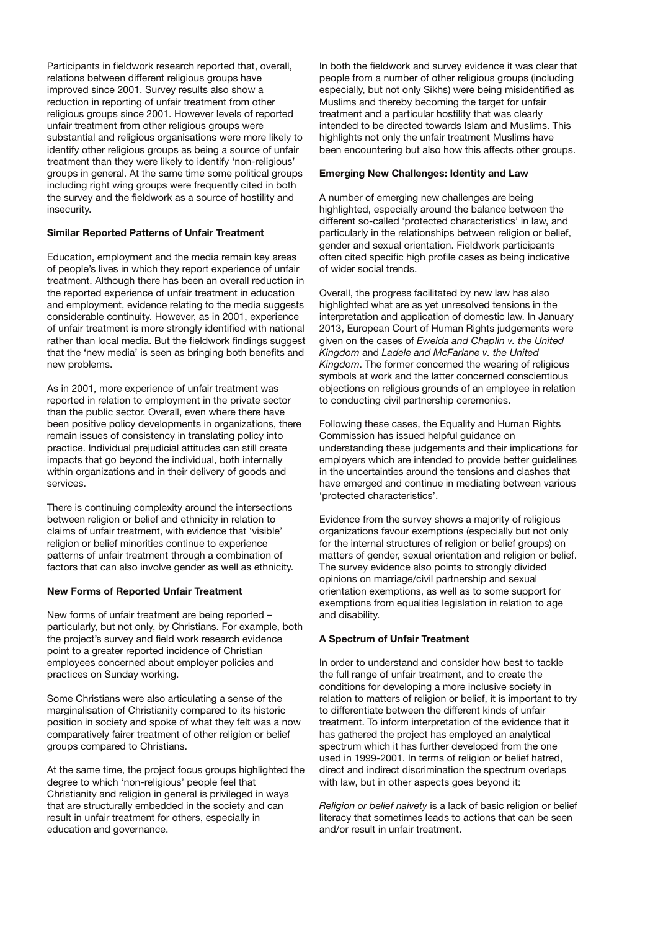Participants in fieldwork research reported that, overall, relations between different religious groups have improved since 2001. Survey results also show a reduction in reporting of unfair treatment from other religious groups since 2001. However levels of reported unfair treatment from other religious groups were substantial and religious organisations were more likely to identify other religious groups as being a source of unfair treatment than they were likely to identify 'non-religious' groups in general. At the same time some political groups including right wing groups were frequently cited in both the survey and the fieldwork as a source of hostility and insecurity.

#### **Similar Reported Patterns of Unfair Treatment**

Education, employment and the media remain key areas of people's lives in which they report experience of unfair treatment. Although there has been an overall reduction in the reported experience of unfair treatment in education and employment, evidence relating to the media suggests considerable continuity. However, as in 2001, experience of unfair treatment is more strongly identified with national rather than local media. But the fieldwork findings suggest that the 'new media' is seen as bringing both benefits and new problems.

As in 2001, more experience of unfair treatment was reported in relation to employment in the private sector than the public sector. Overall, even where there have been positive policy developments in organizations, there remain issues of consistency in translating policy into practice. Individual prejudicial attitudes can still create impacts that go beyond the individual, both internally within organizations and in their delivery of goods and services.

There is continuing complexity around the intersections between religion or belief and ethnicity in relation to claims of unfair treatment, with evidence that 'visible' religion or belief minorities continue to experience patterns of unfair treatment through a combination of factors that can also involve gender as well as ethnicity.

# **New Forms of Reported Unfair Treatment**

New forms of unfair treatment are being reported – particularly, but not only, by Christians. For example, both the project's survey and field work research evidence point to a greater reported incidence of Christian employees concerned about employer policies and practices on Sunday working.

Some Christians were also articulating a sense of the marginalisation of Christianity compared to its historic position in society and spoke of what they felt was a now comparatively fairer treatment of other religion or belief groups compared to Christians.

At the same time, the project focus groups highlighted the degree to which 'non-religious' people feel that Christianity and religion in general is privileged in ways that are structurally embedded in the society and can result in unfair treatment for others, especially in education and governance.

In both the fieldwork and survey evidence it was clear that people from a number of other religious groups (including especially, but not only Sikhs) were being misidentified as Muslims and thereby becoming the target for unfair treatment and a particular hostility that was clearly intended to be directed towards Islam and Muslims. This highlights not only the unfair treatment Muslims have been encountering but also how this affects other groups.

#### **Emerging New Challenges: Identity and Law**

A number of emerging new challenges are being highlighted, especially around the balance between the different so-called 'protected characteristics' in law, and particularly in the relationships between religion or belief, gender and sexual orientation. Fieldwork participants often cited specific high profile cases as being indicative of wider social trends.

Overall, the progress facilitated by new law has also highlighted what are as yet unresolved tensions in the interpretation and application of domestic law. In January 2013, European Court of Human Rights judgements were given on the cases of *Eweida and Chaplin v. the United Kingdom* and *Ladele and McFarlane v. the United Kingdom*. The former concerned the wearing of religious symbols at work and the latter concerned conscientious objections on religious grounds of an employee in relation to conducting civil partnership ceremonies.

Following these cases, the Equality and Human Rights Commission has issued helpful guidance on understanding these judgements and their implications for employers which are intended to provide better guidelines in the uncertainties around the tensions and clashes that have emerged and continue in mediating between various 'protected characteristics'.

Evidence from the survey shows a majority of religious organizations favour exemptions (especially but not only for the internal structures of religion or belief groups) on matters of gender, sexual orientation and religion or belief. The survey evidence also points to strongly divided opinions on marriage/civil partnership and sexual orientation exemptions, as well as to some support for exemptions from equalities legislation in relation to age and disability.

#### **A Spectrum of Unfair Treatment**

In order to understand and consider how best to tackle the full range of unfair treatment, and to create the conditions for developing a more inclusive society in relation to matters of religion or belief, it is important to try to differentiate between the different kinds of unfair treatment. To inform interpretation of the evidence that it has gathered the project has employed an analytical spectrum which it has further developed from the one used in 1999-2001. In terms of religion or belief hatred, direct and indirect discrimination the spectrum overlaps with law, but in other aspects goes beyond it:

*Religion or belief naivety* is a lack of basic religion or belief literacy that sometimes leads to actions that can be seen and/or result in unfair treatment.